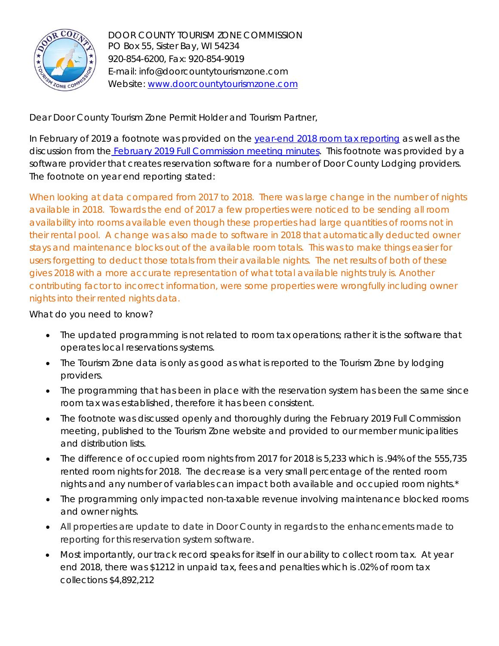

DOOR COUNTY TOURISM ZONE COMMISSION PO Box 55, Sister Bay, WI 54234 920-854-6200, Fax: 920-854-9019 E-mail: info@doorcountytourismzone.com Website: [www.doorcountytourismzone.com](http://www.doorcountytourismzone.com/)

Dear Door County Tourism Zone Permit Holder and Tourism Partner,

In February of 2019 a footnote was provided on the [year-end 2018 room tax reporting](http://doorcountytourismzone.com/uploads/ckfiles/files/12-18%20Comparative%20Collections%20YEAREND.pdf) as well as the discussion from the **February 2019 Full Commission meeting minutes**. This footnote was provided by a software provider that creates reservation software for a number of Door County Lodging providers. The footnote on year end reporting stated:

*When looking at data compared from 2017 to 2018. There was large change in the number of nights available in 2018. Towards the end of 2017 a few properties were noticed to be sending all room availability into rooms available even though these properties had large quantities of rooms not in their rental pool. A change was also made to software in 2018 that automatically deducted owner stays and maintenance blocks out of the available room totals. This was to make things easier for users forgetting to deduct those totals from their available nights. The net results of both of these gives 2018 with a more accurate representation of what total available nights truly is. Another contributing factor to incorrect information, were some properties were wrongfully including owner nights into their rented nights data.*

What do you need to know?

- The updated programming is not related to room tax operations; rather it is the software that operates local reservations systems.
- The Tourism Zone data is only as good as what is reported to the Tourism Zone by lodging providers.
- The programming that has been in place with the reservation system has been the same since room tax was established, therefore it has been consistent.
- The footnote was discussed openly and thoroughly during the February 2019 Full Commission meeting, published to the Tourism Zone website and provided to our member municipalities and distribution lists.
- The difference of occupied room nights from 2017 for 2018 is 5,233 which is .94% of the 555,735 rented room nights for 2018. The decrease is a very small percentage of the rented room nights and any number of variables can impact both available and occupied room nights.\*
- The programming only impacted non-taxable revenue involving maintenance blocked rooms and owner nights.
- All properties are update to date in Door County in regards to the enhancements made to reporting for this reservation system software.
- Most importantly, our track record speaks for itself in our ability to collect room tax. At year end 2018, there was \$1212 in unpaid tax, fees and penalties which is .02% of room tax collections \$4,892,212